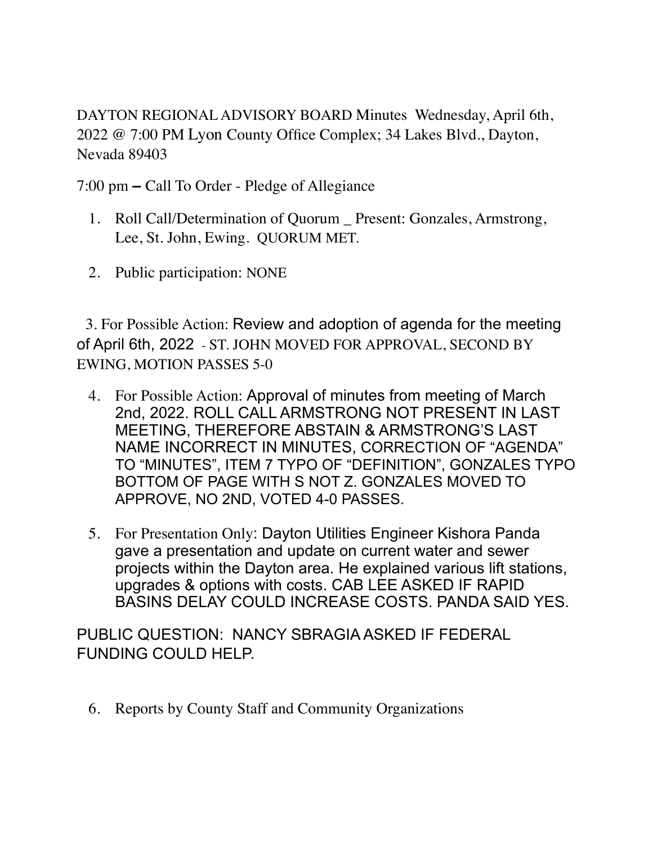DAYTON REGIONAL ADVISORY BOARD Minutes Wednesday, April 6th, 2022 @ 7:00 PM Lyon County Office Complex; 34 Lakes Blvd., Dayton, Nevada 89403

7:00 pm **–** Call To Order - Pledge of Allegiance

- 1. Roll Call/Determination of Quorum \_ Present: Gonzales, Armstrong, Lee, St. John, Ewing. QUORUM MET.
- 2. Public participation: NONE

 3. For Possible Action: Review and adoption of agenda for the meeting of April 6th, 2022 - ST. JOHN MOVED FOR APPROVAL, SECOND BY EWING, MOTION PASSES 5-0

- 4. For Possible Action: Approval of minutes from meeting of March 2nd, 2022. ROLL CALL ARMSTRONG NOT PRESENT IN LAST MEETING, THEREFORE ABSTAIN & ARMSTRONG'S LAST NAME INCORRECT IN MINUTES, CORRECTION OF "AGENDA" TO "MINUTES", ITEM 7 TYPO OF "DEFINITION", GONZALES TYPO BOTTOM OF PAGE WITH S NOT Z. GONZALES MOVED TO APPROVE, NO 2ND, VOTED 4-0 PASSES.
- 5. For Presentation Only: Dayton Utilities Engineer Kishora Panda gave a presentation and update on current water and sewer projects within the Dayton area. He explained various lift stations, upgrades & options with costs. CAB LEE ASKED IF RAPID BASINS DELAY COULD INCREASE COSTS. PANDA SAID YES.

PUBLIC QUESTION: NANCY SBRAGIA ASKED IF FEDERAL FUNDING COULD HELP.

6. Reports by County Staff and Community Organizations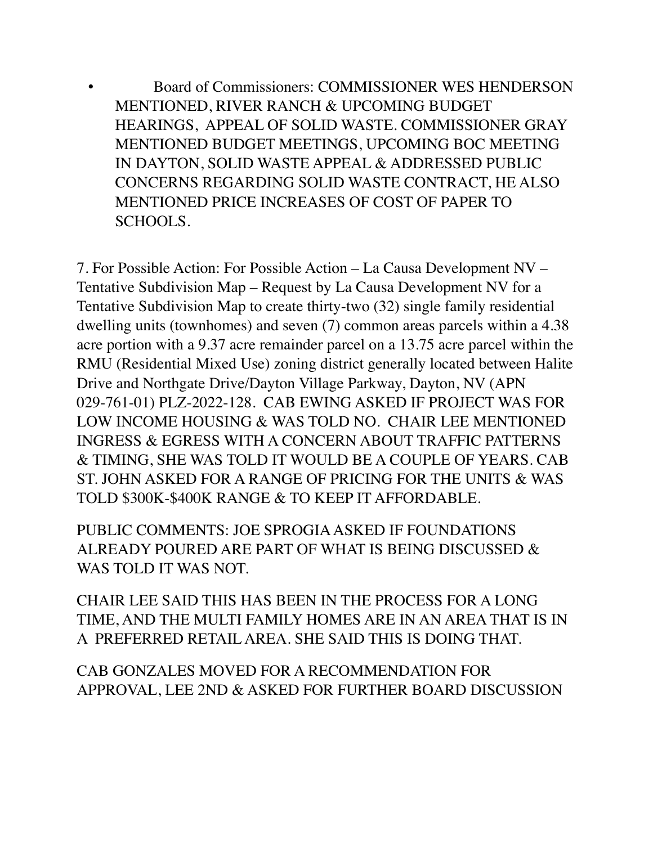• Board of Commissioners: COMMISSIONER WES HENDERSON MENTIONED, RIVER RANCH & UPCOMING BUDGET HEARINGS, APPEAL OF SOLID WASTE. COMMISSIONER GRAY MENTIONED BUDGET MEETINGS, UPCOMING BOC MEETING IN DAYTON, SOLID WASTE APPEAL & ADDRESSED PUBLIC CONCERNS REGARDING SOLID WASTE CONTRACT, HE ALSO MENTIONED PRICE INCREASES OF COST OF PAPER TO SCHOOLS.

7. For Possible Action: For Possible Action – La Causa Development NV – Tentative Subdivision Map – Request by La Causa Development NV for a Tentative Subdivision Map to create thirty-two (32) single family residential dwelling units (townhomes) and seven (7) common areas parcels within a 4.38 acre portion with a 9.37 acre remainder parcel on a 13.75 acre parcel within the RMU (Residential Mixed Use) zoning district generally located between Halite Drive and Northgate Drive/Dayton Village Parkway, Dayton, NV (APN 029-761-01) PLZ-2022-128. CAB EWING ASKED IF PROJECT WAS FOR LOW INCOME HOUSING & WAS TOLD NO. CHAIR LEE MENTIONED INGRESS & EGRESS WITH A CONCERN ABOUT TRAFFIC PATTERNS & TIMING, SHE WAS TOLD IT WOULD BE A COUPLE OF YEARS. CAB ST. JOHN ASKED FOR A RANGE OF PRICING FOR THE UNITS & WAS TOLD \$300K-\$400K RANGE & TO KEEP IT AFFORDABLE.

PUBLIC COMMENTS: JOE SPROGIA ASKED IF FOUNDATIONS ALREADY POURED ARE PART OF WHAT IS BEING DISCUSSED & WAS TOLD IT WAS NOT.

CHAIR LEE SAID THIS HAS BEEN IN THE PROCESS FOR A LONG TIME, AND THE MULTI FAMILY HOMES ARE IN AN AREA THAT IS IN A PREFERRED RETAIL AREA. SHE SAID THIS IS DOING THAT.

CAB GONZALES MOVED FOR A RECOMMENDATION FOR APPROVAL, LEE 2ND & ASKED FOR FURTHER BOARD DISCUSSION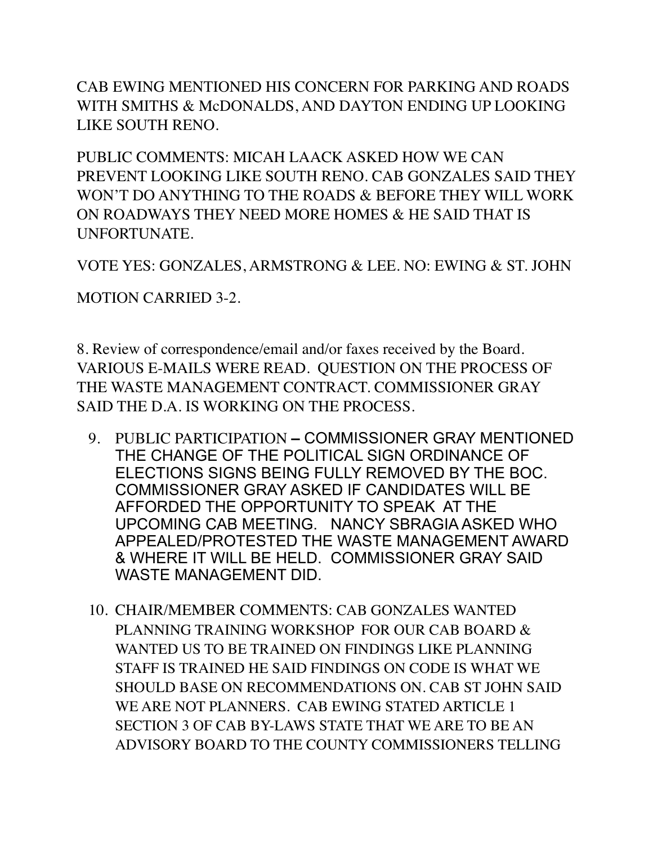CAB EWING MENTIONED HIS CONCERN FOR PARKING AND ROADS WITH SMITHS & McDONALDS, AND DAYTON ENDING UP LOOKING LIKE SOUTH RENO.

PUBLIC COMMENTS: MICAH LAACK ASKED HOW WE CAN PREVENT LOOKING LIKE SOUTH RENO. CAB GONZALES SAID THEY WON'T DO ANYTHING TO THE ROADS & BEFORE THEY WILL WORK ON ROADWAYS THEY NEED MORE HOMES & HE SAID THAT IS UNFORTUNATE.

VOTE YES: GONZALES, ARMSTRONG & LEE. NO: EWING & ST. JOHN

MOTION CARRIED 3-2.

8. Review of correspondence/email and/or faxes received by the Board. VARIOUS E-MAILS WERE READ. QUESTION ON THE PROCESS OF THE WASTE MANAGEMENT CONTRACT. COMMISSIONER GRAY SAID THE D.A. IS WORKING ON THE PROCESS.

- 9. PUBLIC PARTICIPATION COMMISSIONER GRAY MENTIONED THE CHANGE OF THE POLITICAL SIGN ORDINANCE OF ELECTIONS SIGNS BEING FULLY REMOVED BY THE BOC. COMMISSIONER GRAY ASKED IF CANDIDATES WILL BE AFFORDED THE OPPORTUNITY TO SPEAK AT THE UPCOMING CAB MEETING. NANCY SBRAGIA ASKED WHO APPEALED/PROTESTED THE WASTE MANAGEMENT AWARD & WHERE IT WILL BE HELD. COMMISSIONER GRAY SAID WASTE MANAGEMENT DID.
- 10. CHAIR/MEMBER COMMENTS: CAB GONZALES WANTED PLANNING TRAINING WORKSHOP FOR OUR CAB BOARD & WANTED US TO BE TRAINED ON FINDINGS LIKE PLANNING STAFF IS TRAINED HE SAID FINDINGS ON CODE IS WHAT WE SHOULD BASE ON RECOMMENDATIONS ON. CAB ST JOHN SAID WE ARE NOT PLANNERS. CAB EWING STATED ARTICLE 1 SECTION 3 OF CAB BY-LAWS STATE THAT WE ARE TO BE AN ADVISORY BOARD TO THE COUNTY COMMISSIONERS TELLING